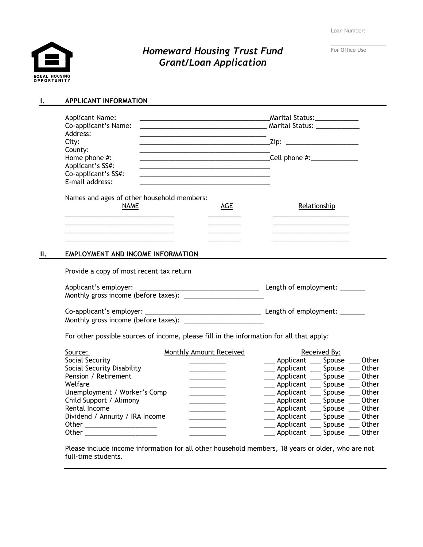Loan Number:

EQUAL HOUSING<br>OPPORTUNITY

# *Homeward Housing Trust Fund Grant/Loan Application*

| For Office Use |  |  |
|----------------|--|--|

# **I. APPLICANT INFORMATION**

|     | <b>Applicant Name:</b>                                                                   |                                                                                           | Marital Status:_____________                             |                                    |  |
|-----|------------------------------------------------------------------------------------------|-------------------------------------------------------------------------------------------|----------------------------------------------------------|------------------------------------|--|
|     | Co-applicant's Name:                                                                     |                                                                                           | Marital Status: National Property of the Marital Status: |                                    |  |
|     | Address:                                                                                 |                                                                                           |                                                          |                                    |  |
|     | City:<br>County:                                                                         | the control of the control of the control of the control of the control of the control of | _Zip: _______________________                            |                                    |  |
|     | Home phone #:                                                                            | <u> 1989 - Johann Stoff, fransk politik (d. 1989)</u>                                     |                                                          |                                    |  |
|     | Applicant's SS#:                                                                         |                                                                                           |                                                          |                                    |  |
|     | Co-applicant's SS#:                                                                      |                                                                                           |                                                          |                                    |  |
|     | E-mail address:                                                                          |                                                                                           |                                                          |                                    |  |
|     | Names and ages of other household members:                                               |                                                                                           |                                                          |                                    |  |
|     | <b>NAME</b>                                                                              | <b>AGE</b>                                                                                |                                                          | Relationship                       |  |
|     |                                                                                          |                                                                                           |                                                          |                                    |  |
|     |                                                                                          |                                                                                           |                                                          |                                    |  |
|     |                                                                                          |                                                                                           |                                                          |                                    |  |
| II. | EMPLOYMENT AND INCOME INFORMATION                                                        |                                                                                           |                                                          |                                    |  |
|     | Provide a copy of most recent tax return                                                 |                                                                                           |                                                          |                                    |  |
|     |                                                                                          |                                                                                           |                                                          |                                    |  |
|     |                                                                                          |                                                                                           |                                                          |                                    |  |
|     |                                                                                          |                                                                                           |                                                          |                                    |  |
|     |                                                                                          |                                                                                           |                                                          |                                    |  |
|     |                                                                                          |                                                                                           |                                                          |                                    |  |
|     | For other possible sources of income, please fill in the information for all that apply: |                                                                                           |                                                          |                                    |  |
|     | Source:                                                                                  | <b>Monthly Amount Received</b>                                                            |                                                          | Received By:                       |  |
|     | Social Security                                                                          |                                                                                           |                                                          | ___ Applicant ___ Spouse ___ Other |  |
|     | Social Security Disability                                                               |                                                                                           |                                                          | ___ Applicant ___ Spouse ___ Other |  |
|     | Pension / Retirement                                                                     |                                                                                           |                                                          | ___ Applicant ___ Spouse ___ Other |  |
|     | Welfare                                                                                  |                                                                                           |                                                          | __ Applicant __ Spouse __ Other    |  |
|     | Unemployment / Worker's Comp                                                             |                                                                                           |                                                          | __ Applicant ___ Spouse ___ Other  |  |
|     | Child Support / Alimony                                                                  |                                                                                           |                                                          | __ Applicant __ Spouse __ Other    |  |
|     | Rental Income                                                                            |                                                                                           |                                                          | ___ Applicant ___ Spouse ___ Other |  |
|     | Dividend / Annuity / IRA Income                                                          |                                                                                           |                                                          | __ Applicant __ Spouse __ Other    |  |
|     |                                                                                          |                                                                                           |                                                          | ___ Applicant ___ Spouse ___ Other |  |
|     | Other                                                                                    |                                                                                           | Applicant                                                | Spouse<br>Other                    |  |

Please include income information for all other household members, 18 years or older, who are not full-time students.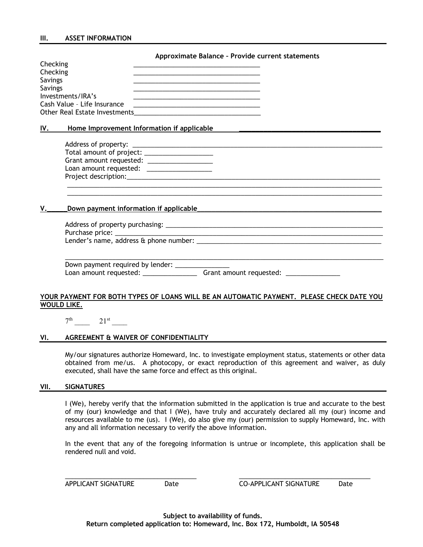#### **Approximate Balance – Provide current statements**

| Checking                      |  |
|-------------------------------|--|
| Checking                      |  |
| Savings                       |  |
| Savings                       |  |
| Investments/IRA's             |  |
| Cash Value - Life Insurance   |  |
| Other Real Estate Investments |  |

#### IV. Home Improvement Information if applicable

| Total amount of project: |  |  |  |
|--------------------------|--|--|--|
| Grant amount requested:  |  |  |  |
| Loan amount requested:   |  |  |  |
| Project description:     |  |  |  |

### **V.\_\_\_\_\_Down payment information if applicable**\_\_\_\_\_\_\_\_\_\_\_\_\_\_\_\_\_\_\_\_\_\_\_\_\_\_\_\_\_\_\_\_\_\_\_\_\_\_\_\_\_\_\_\_\_\_\_\_\_\_\_

| Purchase price: National Purchase price: |  |  |
|------------------------------------------|--|--|
| Lender's name, address & phone number: _ |  |  |
|                                          |  |  |

 $\mathcal{L}_\mathcal{L} = \{ \mathcal{L}_\mathcal{L} = \{ \mathcal{L}_\mathcal{L} = \{ \mathcal{L}_\mathcal{L} = \{ \mathcal{L}_\mathcal{L} = \{ \mathcal{L}_\mathcal{L} = \{ \mathcal{L}_\mathcal{L} = \{ \mathcal{L}_\mathcal{L} = \{ \mathcal{L}_\mathcal{L} = \{ \mathcal{L}_\mathcal{L} = \{ \mathcal{L}_\mathcal{L} = \{ \mathcal{L}_\mathcal{L} = \{ \mathcal{L}_\mathcal{L} = \{ \mathcal{L}_\mathcal{L} = \{ \mathcal{L}_\mathcal{$ 

Down payment required by lender: \_\_\_\_\_\_\_\_ Loan amount requested: \_\_\_\_\_\_\_\_\_\_\_\_\_\_\_ Grant amount requested: \_\_\_\_\_\_\_\_\_\_\_\_\_\_\_

### **YOUR PAYMENT FOR BOTH TYPES OF LOANS WILL BE AN AUTOMATIC PAYMENT. PLEASE CHECK DATE YOU WOULD LIKE.**

 $7^{\text{th}}$   $21^{\text{st}}$ 

## **VI. AGREEMENT & WAIVER OF CONFIDENTIALITY**

My/our signatures authorize Homeward, Inc. to investigate employment status, statements or other data obtained from me/us. A photocopy, or exact reproduction of this agreement and waiver, as duly executed, shall have the same force and effect as this original.

#### **VII. SIGNATURES**

I (We), hereby verify that the information submitted in the application is true and accurate to the best of my (our) knowledge and that I (We), have truly and accurately declared all my (our) income and resources available to me (us). I (We), do also give my (our) permission to supply Homeward, Inc. with any and all information necessary to verify the above information.

In the event that any of the foregoing information is untrue or incomplete, this application shall be rendered null and void.

APPLICANT SIGNATURE Date CO-APPLICANT SIGNATURE Date

 $\overline{\phantom{a}}$  , and the contribution of the contribution of the contribution of the contribution of the contribution of the contribution of the contribution of the contribution of the contribution of the contribution of the